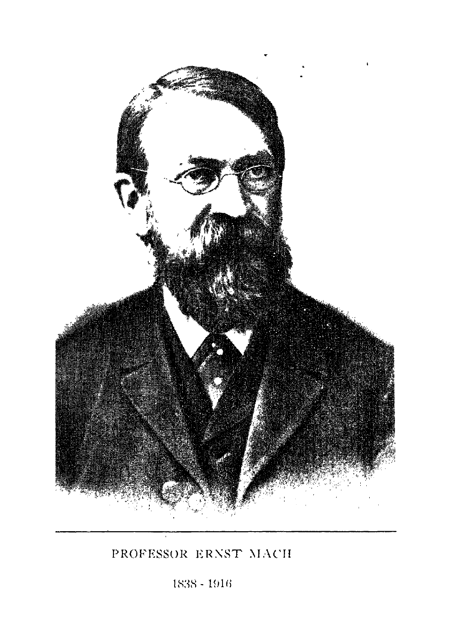

PROFESSOR ERNST MACH

 $1838 - 1916$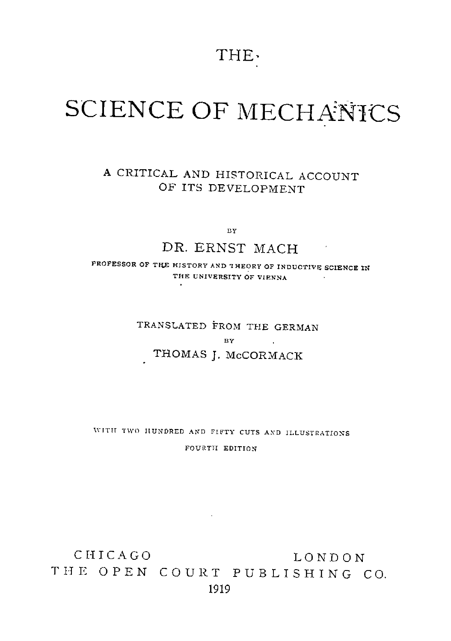# SCIENCE OF MECHANICS

### A CRITICAL AND HISTORICAL ACCOUNT OF ITS DEVELOPMENT

**BY** 

## DR. ERNST MACH

PROFESSOR OF THE HISTORY AND THEORY OF INDUCTIVE SCIENCE IN THE UNIVERSITY OF VIENNA

> TRANSLATED FROM THE GERMAN  $BY$  . THOMAS J. McCORMACK

WITH TWO HUNDRED AND FIFTY CUTS AND ILLUSTRATIONS FOURTH EDITION

CHICAGO LONDON THE OPEN COURT PUBLISHING CO. 1919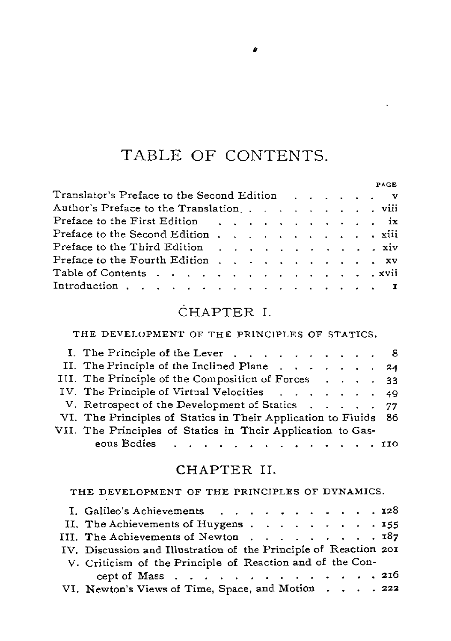# TABLE OF CONTENTS.

|                                              | PAGE |
|----------------------------------------------|------|
| Translator's Preface to the Second Edition v |      |
| Author's Preface to the Translation viii     |      |
| Preface to the First Edition ix              |      |
|                                              |      |
| Preface to the Third Edition xiv             |      |
| Preface to the Fourth Edition xv             |      |
|                                              |      |
| Introduction $\mathbf{I}$                    |      |

## CHAPTER I.

THE DEVELOPMENT OF THE PRINCIPLES OF STATICS.

| I. The Principle of the Lever 8                                       |
|-----------------------------------------------------------------------|
| II. The Principle of the Inclined Plane $\ldots$ $\ldots$ $\ldots$ 24 |
| III. The Principle of the Composition of Forces 33                    |
| IV. The Principle of Virtual Velocities 49                            |
| V. Retrospect of the Development of Statics 77                        |
| VI. The Principles of Statics in Their Application to Fluids 86       |
| VII. The Principles of Statics in Their Application to Gas-           |
| eous Bodies 110                                                       |
|                                                                       |

## CHAPTER II.

#### THE DEVELOPMENT OF THE PRINCIPLES OF DYNAMICS.

| I. Galileo's Achievements 128                                                        |  |  |  |  |  |
|--------------------------------------------------------------------------------------|--|--|--|--|--|
| II. The Achievements of Huygens $\ldots$ , $\ldots$ , $\ldots$ , $\ldots$            |  |  |  |  |  |
| III. The Achievements of Newton $\ldots$ 187                                         |  |  |  |  |  |
| IV. Discussion and Illustration of the Principle of Reaction 201                     |  |  |  |  |  |
| V. Criticism of the Principle of Reaction and of the Con-                            |  |  |  |  |  |
| cept of Mass $\ldots$ $\ldots$ $\ldots$ $\ldots$ $\ldots$ $\ldots$ $\ldots$ $\ldots$ |  |  |  |  |  |
| VI. Newton's Views of Time, Space, and Motion 222                                    |  |  |  |  |  |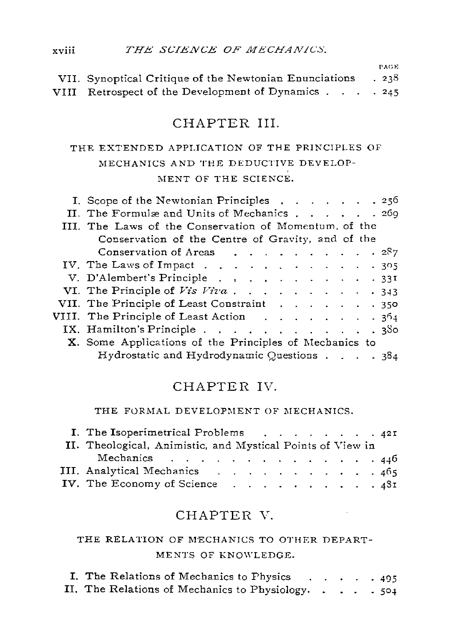xviii THE SCIENCE OF MECHANICS.

|                                                              | PAGE |  |
|--------------------------------------------------------------|------|--|
| VII. Synoptical Critique of the Newtonian Enunciations . 238 |      |  |
| VIII Retrospect of the Development of Dynamics 245           |      |  |

# CHAPTER III.

#### THE EXTENDED APPLICATION OF THE PRINCIPLES OF MECHANICS AND THE DEDUCTIVE DEVELOP-MENT OF THE SCIENCE.

| I. Scope of the Newtonian Principles 256                                         |  |
|----------------------------------------------------------------------------------|--|
| II. The Formulæ and Units of Mechanics $\ldots$ $\ldots$ $\ldots$ 269            |  |
| III. The Laws of the Conservation of Momentum, of the                            |  |
| Conservation of the Centre of Gravity, and of the                                |  |
| Conservation of Areas 287                                                        |  |
| IV. The Laws of Impact $\ldots$ $\ldots$ $\ldots$ $\ldots$ $\ldots$ $\ldots$ 305 |  |
| V. D'Alembert's Principle 331                                                    |  |
| VI. The Principle of Vis Viva. 343                                               |  |
| VII. The Principle of Least Constraint 350                                       |  |
| VIII. The Principle of Least Action $\ldots$ 364                                 |  |
| IX. Hamilton's Principle380                                                      |  |
| X. Some Applications of the Principles of Mechanics to                           |  |
| Hydrostatic and Hydrodynamic Questions 384                                       |  |

## CHAPTER IV.

#### THE FORMAL DEVELOPMENT OF MECHANICS.

|  |  |  |  |  |  | I. The Isoperimetrical Problems 421<br>II. Theological, Animistic, and Mystical Points of View in<br>Mechanics 446<br>III. Analytical Mechanics 465<br>IV. The Economy of Science $\ldots$ $\ldots$ $\ldots$ $\ldots$ $\ldots$ 481 |
|--|--|--|--|--|--|------------------------------------------------------------------------------------------------------------------------------------------------------------------------------------------------------------------------------------|

# CHAPTER V.

 $\sim 10^{-1}$ 

#### THE RELATION OF MECHANICS TO OTHER DEPART-MENTS OF KNOWLEDGE.

| I. The Relations of Mechanics to Physics 495      |  |  |  |
|---------------------------------------------------|--|--|--|
| II. The Relations of Mechanics to Physiology. 504 |  |  |  |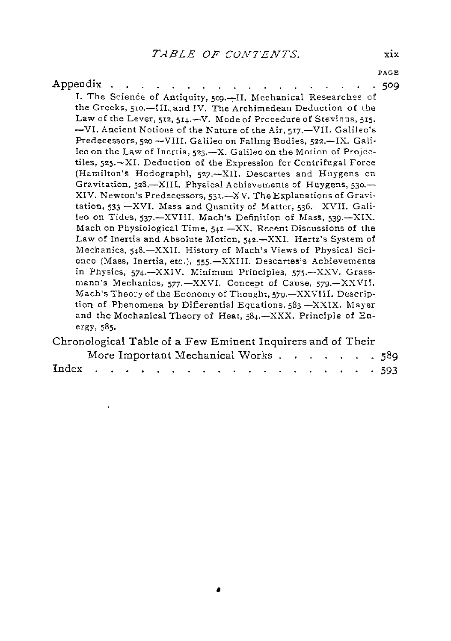| PAGE                                                                                                                                                                                                                                                                                                                                                                                                                                                                                                                                                                                                                                                                                                                                                                                                                                                                                                                                                                                                                                                                                                                           |  |
|--------------------------------------------------------------------------------------------------------------------------------------------------------------------------------------------------------------------------------------------------------------------------------------------------------------------------------------------------------------------------------------------------------------------------------------------------------------------------------------------------------------------------------------------------------------------------------------------------------------------------------------------------------------------------------------------------------------------------------------------------------------------------------------------------------------------------------------------------------------------------------------------------------------------------------------------------------------------------------------------------------------------------------------------------------------------------------------------------------------------------------|--|
| Appendix<br>. 509<br>$\sim$ $\sim$ $\sim$ $\sim$<br>and a strategic and a strategic<br>$\sim$<br><b>Contract Contract</b>                                                                                                                                                                                                                                                                                                                                                                                                                                                                                                                                                                                                                                                                                                                                                                                                                                                                                                                                                                                                      |  |
| I. The Science of Antiquity, 509.-II. Mechanical Researches of<br>the Greeks, 510.-III. and IV. The Archimedean Deduction of the<br>Law of the Lever, 512, 514.-V. Mode of Procedure of Stevinus, 515.<br>-VI. Ancient Notions of the Nature of the Air, 517. - VII. Galileo's<br>Predecessors, 520 -- VIII. Galileo on Falling Bodies, 522 .- IX. Gali-<br>leo on the Law of Inertia, 523. -- X. Galileo on the Motion of Projec-<br>tiles, 525.-XI. Deduction of the Expression for Centrifugal Force<br>(Hamilton's Hodograph), 527 .- XII. Descartes and Huygens on<br>Gravitation, 528.—XIII. Physical Achievements of Huygens, 530.—<br>XIV. Newton's Predecessors, 531.-XV. The Explanations of Gravi-<br>tation, 533 --XVI. Mass and Quantity of Matter, 536.-XVII. Gali-<br>leo on Tides, 537.—XVIII. Mach's Definition of Mass, 539.—XIX.<br>Mach on Physiological Time, 541.-XX. Recent Discussions of the<br>Law of Inertia and Absolute Motion, 542.—XXI. Hertz's System of<br>Mechanics, 548.-XXII. History of Mach's Views of Physical Sci-<br>ence (Mass, Inertia, etc.), 555.-XXIII. Descartes's Achievements |  |
| in Physics, 574.--XXIV. Minimum Principles, 575.--XXV. Grass-<br>mann's Mechanics, 577.-XXVI. Concept of Cause, 579.-XXVII.<br>Mach's Theory of the Economy of Thought, 579.—XXVIII. Descrip-<br>tion of Phenomena by Differential Equations, 583 -XXIX. Mayer<br>and the Mechanical Theory of Heat, 584.-XXX. Principle of En-<br>ergy, 585.                                                                                                                                                                                                                                                                                                                                                                                                                                                                                                                                                                                                                                                                                                                                                                                  |  |
| Chronological Table of a Few Eminent Inquirers and of Their                                                                                                                                                                                                                                                                                                                                                                                                                                                                                                                                                                                                                                                                                                                                                                                                                                                                                                                                                                                                                                                                    |  |
| More Important Mechanical Works 589                                                                                                                                                                                                                                                                                                                                                                                                                                                                                                                                                                                                                                                                                                                                                                                                                                                                                                                                                                                                                                                                                            |  |
| Index<br>.593<br>$\sim$ $\sim$<br>$\bullet$<br>$\sim 10^{-10}$ km $^{-1}$                                                                                                                                                                                                                                                                                                                                                                                                                                                                                                                                                                                                                                                                                                                                                                                                                                                                                                                                                                                                                                                      |  |

 $\mathcal{L}^{\text{max}}_{\text{max}}$  and  $\mathcal{L}^{\text{max}}_{\text{max}}$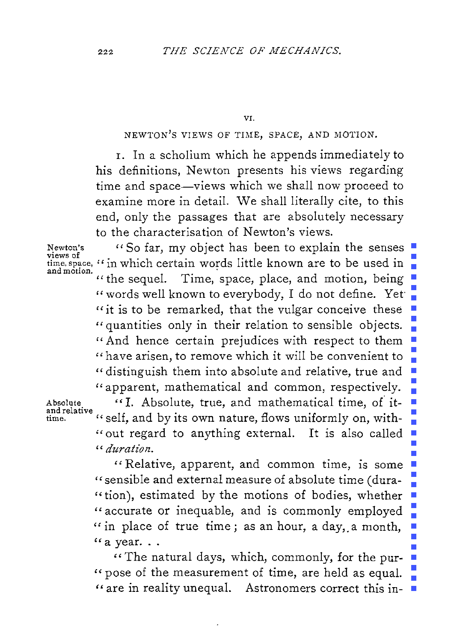NEWTON'S VIEWS OF TIME, SPACE, AND MOTION.

i. In <sup>a</sup> scholium which he appends immediately to his definitions, Newton presents his views regarding time and space-views which we shall now proceed to examine more in detail. We shall literally cite, to this end, only the passages that are absolutely necessary to the characterisation of Newton's views.

Newton's "So far, my object has been to explain the senses views of views or<br>time, space, "in " "So tar, my object has been to explain the senses."<br>in which certain words little known are to be used in time.space, "in which certain words little known are to be used in Tandmotion.<br>andmotion. "the sequel. Time, space, place, and motion, being " words well known to everybody, I do not define. Yet 'n l  $"$ it is to be remarked, that the vulgar conceive these " quantities only in their relation to sensible objects. "And hence certain prejudices with respect to them "have arisen, to remove which it will be convenient to "distinguish them into absolute and relative, true and  $\blacksquare$ "apparent, mathematical and common, respectively. Absolute "I. Absolute, true, and mathematical time, of itand relative ... self, and by its own nature, flows uniformly on, withtime, "out regard to anything external. It is also called " duration.

> "Relative, apparent, and common time, is some " sensible and external measure of absolute time (dura- "tion), estimated by the motions of bodies, whether "accurate or inequable, and is commonly employed "in place of true time; as an hour, a day, a month,  $\frac{1}{2}$ "a year...

"The natural days, which, commonly, for the pur- "pose of the measurement of time, are held as equal. " are in reality unequal. Astronomers correct this in-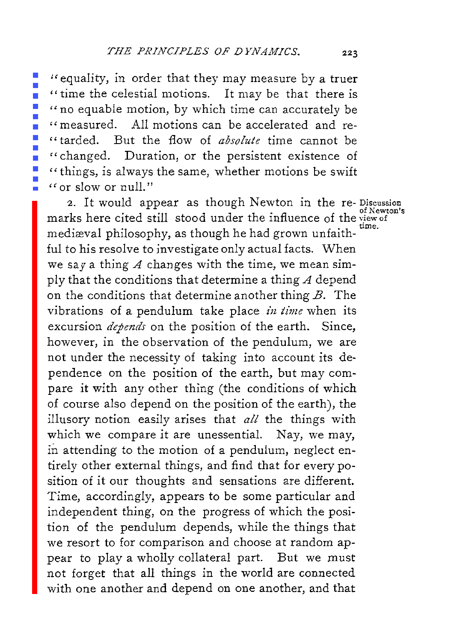"equality, in order that they may measure by <sup>a</sup> truer "time the celestial motions. It may be that there is " no equable motion, by which time can accurately be"<br>"measured. All motions can be accelerated and re-All motions can be accelerated and re-"tarded. But the flow of absolute time cannot be "changed. Duration, or the persistent existence of  $``$  things, is always the same, whether motions be swift "or slow or null."

 $\blacksquare$ Π Ē.  $\blacksquare$ Ē П L. I. П

> 2. It would appear as though Newton in the re-Discussion of Newton's marks here cited still stood under the influence of the view of time. mediaeval philosophy, as though he had grown unfaithful to his resolve to investigate only actual facts. When we say a thing  $A$  changes with the time, we mean simply that the conditions that determine a thing  $A$  depend on the conditions that determine another thing  $B$ . The vibrations of a pendulum take place *in time* when its excursion *depends* on the position of the earth. Since, however, in the observation of the pendulum, we are not under the necessity of taking into account its dependence on the position of the earth, but may compare it with any other thing (the conditions of which of course also depend on the position of the earth), the illusory notion easily arises that  $all$  the things with which we compare it are unessential. Nay, we may, in attending to the motion of a pendulum, neglect entirely other external things, and find that for every position of it our thoughts and sensations are different. Time, accordingly, appears to be some particular and independent thing, on the progress of which the position of the pendulum depends, while the things that we resort to for comparison and choose at random appear to play <sup>a</sup> wholly collateral part. But we must not forget that all things in the world are connected with one another and depend on one another, and that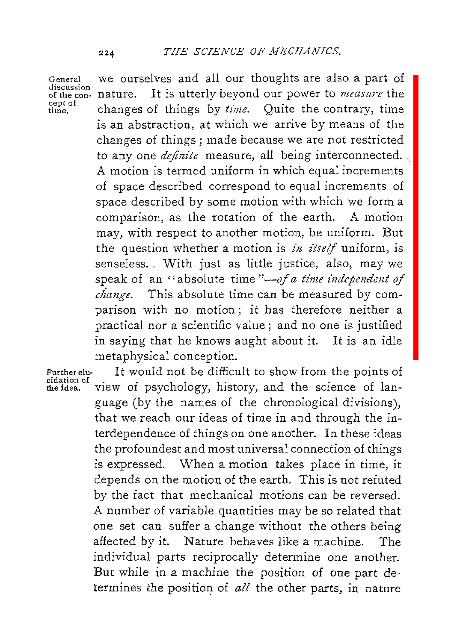General we ourselves and all our thoughts are also <sup>a</sup> part of discussion nature. It is utterly beyond our power to *measure* the  $t_{\text{time}}^{\text{cept of}}$  changes of things by *time*. Quite the contrary, time is an abstraction, at which we arrive by means of the changes of things ; made because we are not restricted to any one *definite* measure, all being interconnected. .<br>A motion is termed uniform in which equal increments of space described correspond to equal increments of space described by some motion with which we form a comparison, as the rotation of the earth. A motion comparison, as the rotation of the earth. may, with respect to another motion, be uniform. But the question whether a motion is in itself uniform, is senseless. , With just as little justice, also, may we speak of an "absolute time"—of a time independent of chance. This absolute time can be measured by com-This absolute time can be measured by comparison with no motion; it has therefore neither a practical nor a scientific value ; and no one is justified in saying that he knows aught about it. It is an idle metaphysical conception.

Further eiu-<br>
eidation of the would not be difficult to show from the points of endation of view of psychology, history, and the science of language (by the names of the chronological divisions). that we reach our ideas of time in and through the interdependence of things on one another. In these ideas the profoundest and most universal connection of things is expressed. When <sup>a</sup> motion takes place in time, it depends on the motion of the earth. This is not refuted by the fact that mechanical motions can be reversed. A number of variable quantities may be so related that one set can suffer a change without the others being<br>affected by it. Nature behaves like a machine. The affected by it. Nature behaves like a machine. individual parts reciprocally determine one another. But while in <sup>a</sup> machine the position of one part determines the position of all the other parts, in nature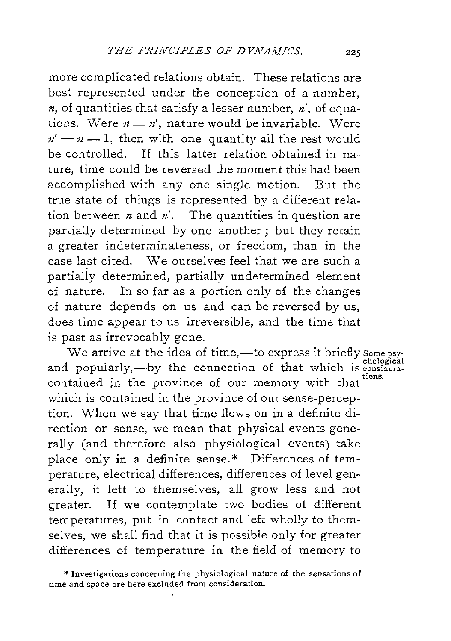more complicated relations obtain. These relations are best represented under the conception of <sup>a</sup> number, n, of quantities that satisfy a lesser number,  $n$  , of equations. Were  $n = n'$ , nature would be invariable. Were  $n' = n - 1$ , then with one quantity all the rest would be controlled. If this latter relation obtained in nature, time could be reversed the moment this had been accomplished with any one single motion. But the true state of things is represented by a different relation between  $n$  and  $n'$ . The quantities in question are partially determined by one another ; but they retain a greater indeterminateness, or freedom, than in the case last cited. We ourselves feel that we are such <sup>a</sup> partially determined, partially undetermined element of nature. In so far as a portion only of the changes of nature depends on us and can be reversed by us, does time appear to us irreversible, and the time that is past as irrevocably gone.

We arrive at the idea of time,—to express it briefly some psyand popularly,—by the connection of that which is considera-<br>tions contained in the province of our memory with that tions. which is contained in the province of our sense-perception. When we say that time flows on in <sup>a</sup> definite direction or sense, we mean that physical events generally (and therefore also physiological events) take place only in a definite sense.\* Differences of temperature, electrical differences, differences of level generally, if left to themselves, all grow less and not greater. If we contemplate two bodies of different temperatures, put in contact and left wholly to themselves, we shall find that it is possible only for greater differences of temperature in the field of memory to

<sup>\*</sup> Investigations concerning the physiological nature of the sensations of time and space are here excluded from consideration.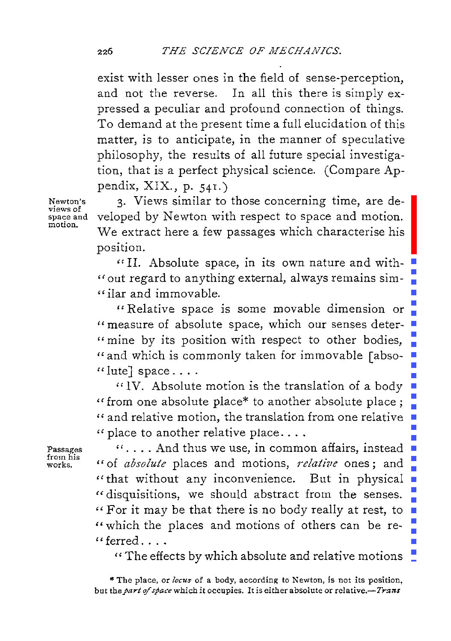exist with lesser ones in the field of sense-perception, and not the reverse. In all this there is simply expressed a peculiar and profound connection of things. To demand at the present time <sup>a</sup> full elucidation of this matter, is to anticipate, in the manner of speculative philosophy, the results of all future special investigation, that is a perfect physical science. (Compare Appendix, XIX., p. 541.)

Newton's 3. Views similar to those concerning time, are deviews of<br>space and veloped by Newton with respect to space and motion. motion. We extract here a few passages which characterise his position.

> "II. Absolute space, in its own nature and with- " out regard to anything external, always remains sim- $\lq$ ilar and immovable.

"Relative space is some movable dimension or "measure of absolute space, which our senses deter- "mine by its position with respect to other bodies, " and which is commonly taken for immovable [abso $l$ lute] space....

"IV. Absolute motion is the translation of a body "from one absolute place\* to another absolute place ;  $\lq\lq$  and relative motion, the translation from one relative " place to another relative place. . . .

Passages<br>from his

 $\cdots$ ... And thus we use, in common affairs, instead works. "of *absolute* places and motions, *relative* ones; and "that without any inconvenience. But in physical  $\blacksquare$ "disquisitions, we should abstract from the senses. " For it may be that there is no body really at rest, to  $\blacksquare$ "which the places and motions of others can be re- $``ferred...$ 

" The effects by which absolute and relative motions

\* The place, or locus of a body, according to Newton, is not its position, but the part of space which it occupies. It is either absolute or relative. $-$ Trans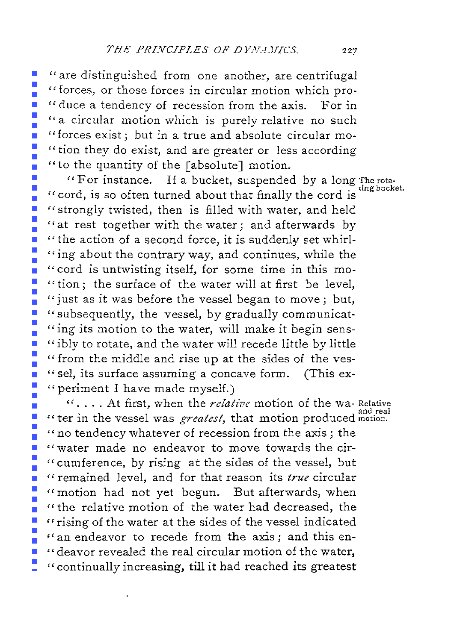" are distinguished from one another, are centrifugal × × " forces, or those forces in circular motion which pro- × I duce a tendency of recession from the axis. For in ٠ "a circular motion which is purely relative no such Ē, "forces exist; but in a true and absolute circular mo- ÷,  $\blacksquare$ "tion they do exist, and are greater or less according "to the quantity of the [absolute] motion.  $\overline{\phantom{a}}$ ٠

a.

 $\blacksquare$ 

 $\Box$ Ē, Ē, Ē, п ×. Ē,  $\mathbf{r}$ ×. Ē, п ×. Ē, п п  $\blacksquare$  $\blacksquare$  $\blacksquare$ m,  $\mathcal{L}_{\mathcal{A}}$ 

n.

Ē,

"For instance. If a bucket, suspended by a long the rota-"cord, is so often turned about that finally the cord is """ "strongly twisted, then is filled with water, and held "at rest together with the water; and afterwards by " the action of a second force, it is suddenly set whirl- " ing about the contrary way, and continues, while the "cord is untwisting itself, for some time in this mo- "tion ; the surface of the water will at first be level,  $``$  just as it was before the vessel began to move ; but, "subsequently, the vessel, by gradually communicat- "ing its motion to the water, will make it begin sens-" ibly to rotate, and the water will recede little by little " from the middle and rise up at the sides of the ves- " sel, its surface assuming <sup>a</sup> concave form. (This ex- " periment <sup>I</sup> have made myself.)

п ".... At first, when the *relative* motion of the wa-Relative Ĥ. " ter in the vessel was *greatest*, that motion produced motion.  $\blacksquare$  $\mathbb{Z}$ "no tendency whatever of recession from the axis ; the "water made no endeavor to move towards the cir- × п "cumference, by rising at the sides of the vessel, but "remained level, and for that reason its true circular × "motion had not yet begun. But afterwards, when  $\blacksquare$  $\blacksquare$ "the relative motion of the water had decreased, the  $\blacksquare$  $\blacksquare$  "rising of the water at the sides of the vessel indicated a. \* ' an endeavor to recede from the axis ; and this en-  $\blacksquare$ " deavor revealed the real circular motion of the water,  $\mathbf{r}$ " continually increasing, till it had reached its greatest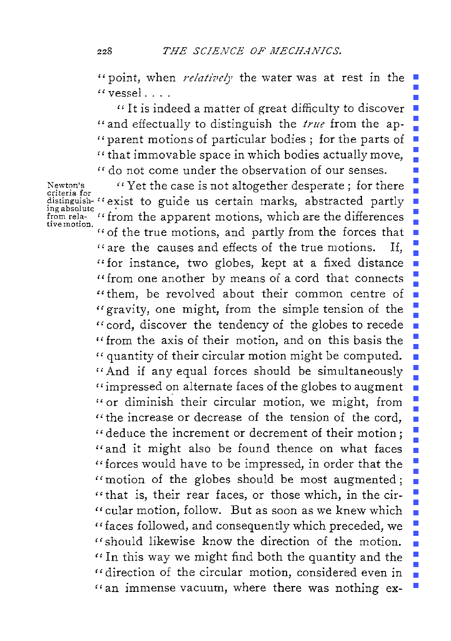"point, when *relatively* the water was at rest in the  $\blacksquare$ " vessel .... П

li It is indeed a matter of great difficulty to discover "and effectually to distinguish the  $true$  from the ap-" parent motions of particular bodies ; for the parts of  $\blacksquare$ ; " that immovable space in which bodies actually move,  $\overline{\phantom{a}}$ " do not come under the observation of our senses.

Newton's  $\cdots$  Yet the case is not altogether desperate; for there criteria for<br>distinguish- "exist to guide us certain marks, abstracted partly ing absolute<br>from rela- '' from the apparent motions, which are the differences tive motion. . Trom the apparent motions, which are the differences<br>"of the true motions, and partly from the forces that" "are the causes and effects of the true motions. "for instance, two globes, kept at a fixed distance  $\mathbb{R}$ " from one another by means of a cord that connects "them, be revolved about their common centre of  $\blacksquare$ "gravity, one might, from the simple tension of the  $\alpha$  cord, discover the tendency of the globes to recede  $\blacksquare$ " from the axis of their motion, and on this basis the " quantity of their circular motion might be computed.  $\blacksquare$ "And if any equal forces should be simultaneously "impressed on alternate faces of the globes to augment "or diminish their circular motion, we might, from "the increase or decrease of the tension of the cord,  $\overline{\phantom{a}}$ "deduce the increment or decrement of their motion; "and it might also be found thence on what faces  $\mathbf{F}$ "forces would have to be impressed, in order that the "motion of the globes should be most augmented;  $\frac{1}{2}$ "that is, their rear faces, or those which, in the cir- $\blacksquare$ " cular motion, follow. But as soon as we knew which ' ' faces followed, and consequently which preceded, we "should likewise know the direction of the motion. "In this way we might find both the quantity and the "direction of the circular motion, considered even in "an immense vacuum, where there was nothing ex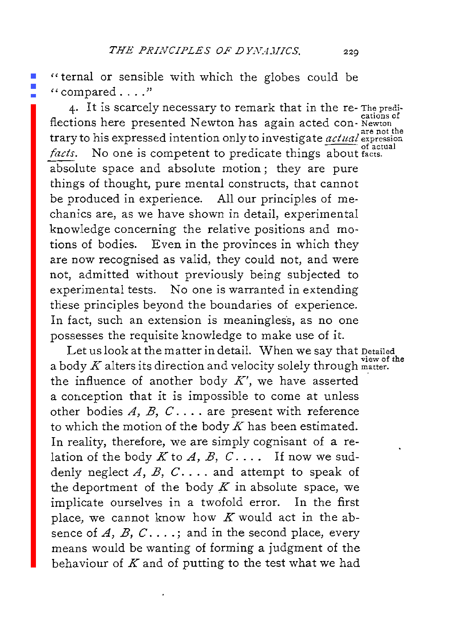"ternal or sensible with which the globes could be " compared . . . ."

4. It is scarcely necessary to remark that in the re- The prediflections here presented Newton has again acted con- Newton trary to his expressed intention only to investigate *actual* expression<br>expression facts. No one is competent to predicate things about facts. absolute space and absolute motion ; they are pure things of thought, pure mental constructs, that cannot be produced in experience. All our principles of mechanics are, as we have shown in detail, experimental knowledge concerning the relative positions and motions of bodies. Even in the provinces in which they are now recognised as valid, they could not, and were not, admitted without previously being subjected to experimental tests. No one is warranted in extending these principles beyond the boundaries of experience. In fact, such an extension is meaningless, as no one possesses the requisite knowledge to make use of it.

Let us look at the matter in detail. When we say that Detailed a body  $K$  alters its direction and velocity solely through matter. the influence of another body  $K'$ , we have asserted a conception that it is impossible to come at unless other bodies  $A, B, C, \ldots$  are present with reference to which the motion of the body  $K$  has been estimated. In reality, therefore, we are simply cognisant of <sup>a</sup> relation of the body  $K$  to  $A, B, C \ldots$ . If now we suddenly neglect  $A, B, C, \ldots$  and attempt to speak of the deportment of the body  $K$  in absolute space, we implicate ourselves in a twofold error. In the first place, we cannot know how  $K$  would act in the absence of  $A, B, C...$ ; and in the second place, every means would be wanting of forming a judgment of the behaviour of  $K$  and of putting to the test what we had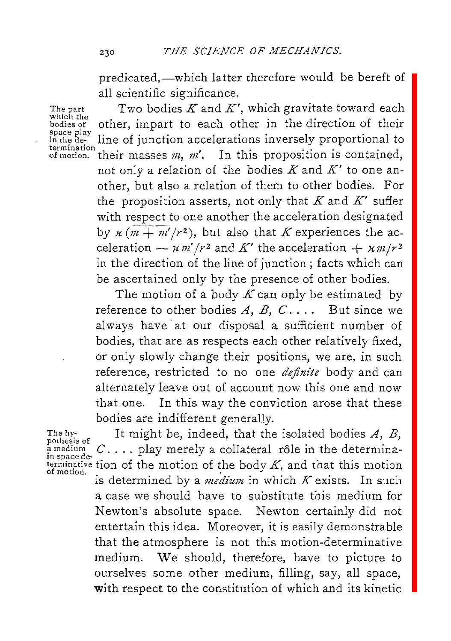predicated, which latter therefore would be bereft of all scientific significance.

The part Two bodies K and K', which gravitate toward each , The part<br>bodies of other, impart to each other in the direction of their<br>space play space play<br>in the de-<br>termination line of junction accelerations inversely proportional to the de-<br>termination . Their masses  $m$ ,  $m'$ . In this proposition is contained, not only a relation of the bodies  $K$  and  $K'$  to one another, but also <sup>a</sup> relation of them to other bodies. For the proposition asserts, not only that  $K$  and  $K'$  suffer with respect to one another the acceleration designated by  $\alpha$  (m + m'/r<sup>2</sup>), but also that K experiences the acceleration  $-\pi m'/r^2$  and K' the acceleration  $+\pi m/r^2$ in the direction of the line of junction ; facts which can be ascertained only by the presence of other bodies.

The motion of a body  $K$  can only be estimated by reference to other bodies A, B,  $C \ldots$ . But since we always have at our disposal a sufficient number of **the contact of the set of the contact of the contact of the co** bodies, that are as respects each other relatively fixed, or only slowly change their positions, we are, in such reference, restricted to no one *definite* body and can alternately leave out of account now this one and now that one. In this way the conviction arose that these bodies are indifferent generally.

pothesis of

The hy-<br>nothesis of It might be, indeed, that the isolated bodies  $A, B, \Box$ a medium  $C \ldots$  play merely a collateral rôle in the determina-In space de-<br>terminative tion of the motion of the body K, and that this motion of motion. is determined by a *medium* in which  $K$  exists. In such a case we should have to substitute this medium for Newton's absolute space. Newton certainly did not entertain this idea. Moreover, it is easily demonstrable that the atmosphere is not this motion-determinative medium. We should, therefore, have to picture to ourselves some other medium, filling, say, all space, with respect to the constitution of which and its kinetic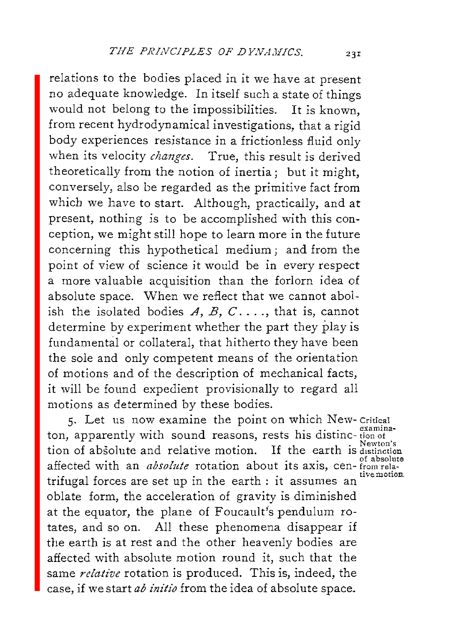relations to the bodies placed in it we have at present no adequate knowledge. In itself such <sup>a</sup> state of things would not belong to the impossibilities. It is known, from recent hydrodynamical investigations, that <sup>a</sup> rigid body experiences resistance in a frictionless fluid only when its velocity *changes*. True, this result is derived theoretically from the notion of inertia but it might, conversely, also be regarded as the primitive fact from which we have to start. Although, practically, and at present, nothing is to be accomplished with this conception, we might still hope to learn more in the future concerning this hypothetical medium ; and from the point of view of science itwould be in every respect a more valuable acquisition than the forlorn idea of absolute space. When we reflect that we cannot abolish the isolated bodies  $A, B, C...$ , that is, cannot determine by experiment whether the part they play is fundamental or collateral, that hitherto they have been the sole and only competent means of the orientation of motions and of the description of mechanical facts, it will be found expedient provisionally to regard all motions as determined by these bodies.

5. Let us now examine the point on which New- Critical ton, apparently with sound reasons, rests his distinc-tion of tion of absolute and relative motion. If the earth is distinction on, apparently with sound reasons, rests his distinc- tion of<br>on of absolute and relative motion. If the earth is distinction<br>ffected with an *absolute* rotation about its axis, cen-from relaaffected with an *absolute* rotation about its axis, cen-ela-<br>trip rights divension. trifugal forces are set up in the earth : it assumes an oblate form, the acceleration of gravity is diminished at the equator, the plane of Foucault's pendulum rotates, and so on. All these phenomena disappear if the earth is at rest and the other heavenly bodies are affected with absolute motion round it, such that the same *relative* rotation is produced. This is, indeed, the case, if we start *ab initio* from the idea of absolute space.

examina-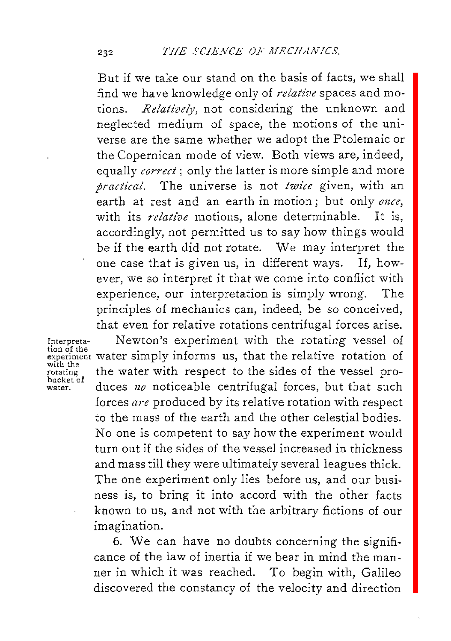But if we take our stand on the basis of facts, we shall find we have knowledge only of *relative* spaces and motions. Relatively, not considering the unknown and neglected medium of space, the motions of the universe are the same whether we adopt the Ptolemaic or the Copernican mode of view. Both views are, indeed, equally *correct* ; only the latter is more simple and more **rep** practical. The universe is not twice given, with an earth at rest and an earth in motion; but only *once*, **i** with its *relative* motions, alone determinable. It is, accordingly, not permitted us to say how things would be if the earth did not rotate. We may interpret the one case that is given us, in different ways. If, howone case that is given us, in different ways. ever, we so interpret it that we come into conflict with **the sum of the state of the state of the state of the state of the state of the state of the state of the state of the state of the state of the state of the state** experience, our interpretation is simply wrong. The principles of mechanics can, indeed, be so conceived, that even for relative rotations centrifugal forces arise,

Interpreta- Newton's experiment with the rotating vessel of the tion of the water simply informs us, that the relative rotation of experiment water simply informs us, that the relative with its the water with respect to the sides of the vessel prowater, duces *no* noticeable centrifugal forces, but that such forces *are* produced by its relative rotation with respect to the mass of the earth and the other celestial bodies. No one is competent to say how the experiment would turn out if the sides of the vessel increased in thickness and mass till they were ultimately several leagues thick. The one experiment only lies before us, and our business is, to bring it into accord with the other facts known to us, and not with the arbitrary fictions of our imagination.

> 6. We can have no doubts concerning the significance of the law of inertia if we bear in mind the manner in which it was reached. To begin with, Galileo discovered the constancy of the velocity and direction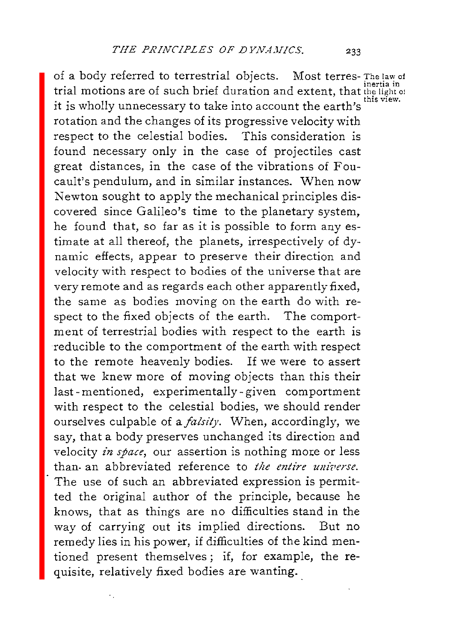of <sup>a</sup> body referred to terrestrial objects. Most terres- The law oi trial motions are of such brief duration and extent, that the light of this view.<br>this view it is wholly unnecessary to take into account the earth's rotation and the changes of its progressive velocity with respect to the celestial bodies. This consideration is found necessary only in the case of projectiles cast great distances, in the case of the vibrations of Foucault's pendulum, and in similar instances. When now Newton sought to apply the mechanical principles discovered since Galileo's time to the planetary system, he found that, so far as it is possible to form any estimate at all thereof, the planets, irrespectively of dynamic effects, appear to preserve their direction and velocity with respect to bodies of the universe that are very remote and as regards each other apparently fixed, the same as bodies moving on the earth do with respect to the fixed objects of the earth. The comportment of terrestrial bodies with respect to the earth is reducible to the comportment of the earth with respect to the remote heavenly bodies. If we were to assert that we knew more of moving objects than this their last -mentioned, experimentally -given comportment with respect to the celestial bodies, we should render ourselves culpable of <sup>a</sup> falsity. When, accordingly, we say, that a body preserves unchanged its direction and velocity in space, our assertion is nothing more or less than- an abbreviated reference to the entire universe. The use of such an abbreviated expression is permitted the original author of the principle, because he knows, that as things are no difficulties stand in the way of carrying out its implied directions. remedy lies in his power, if difficulties of the kind mentioned present themselves ; if, for example, the requisite, relatively fixed bodies are wanting.

 $\ddot{\phantom{0}}$  .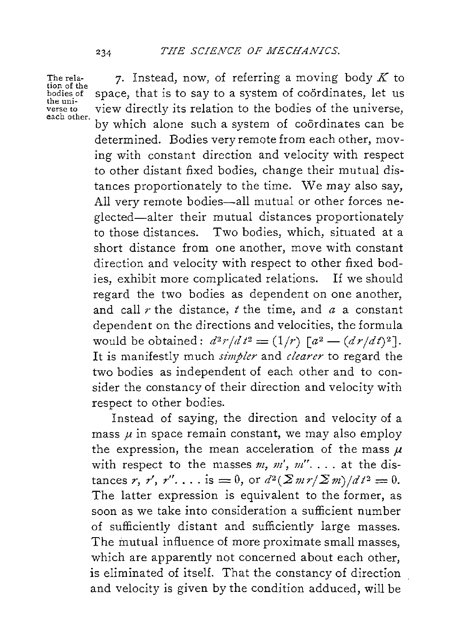The rela-<br>tion of the<br>bodies of

7. Instead, now, of referring a moving body  $K$  to bodies of space, that is to say to a system of coordinates, let us<br>the unithe uni-<br>verse to view directly its relation to the bodies of the universe,<br>each other. each other. by which alone such a system of coordinates can be determined. Bodies very remote from each other, moving with constant direction and velocity with respect to other distant fixed bodies, change their mutual distances proportionately to the time. We may also say, All very remote bodies-all mutual or other forces neglected alter their mutual distances proportionately to those distances. Two bodies, which, situated at <sup>a</sup> short distance from one another, move with constant direction and velocity with respect to other fixed bodies, exhibit more complicated relations. If we should regard the two bodies as dependent on one another, and call  $r$  the distance,  $t$  the time, and  $a$  a constant dependent on the directions and velocities, the formula would be obtained:  $d^2r/dt^2 = (1/r) [a^2 - (d\,r/dt)^2].$ It is manifestly much *simpler* and *clearer* to regard the two bodies as independent of each other and to consider the constancy of their direction and velocity with respect to other bodies.

> Instead of saying, the direction and velocity of <sup>a</sup> mass  $\mu$  in space remain constant, we may also employ the expression, the mean acceleration of the mass  $\mu$ with respect to the masses  $m, m', m'' \ldots$  at the distances r, r', r''... is  $= 0$ , or  $d^2(\sum m r/\sum m)/dt^2 = 0$ . The latter expression is equivalent to the former, as soon as we take into consideration a sufficient number of sufficiently distant and sufficiently large masses. The mutual influence of more proximate small masses, which are apparently not concerned about each other, is eliminated of itself. That the constancy of direction and velocity is given by the condition adduced, will be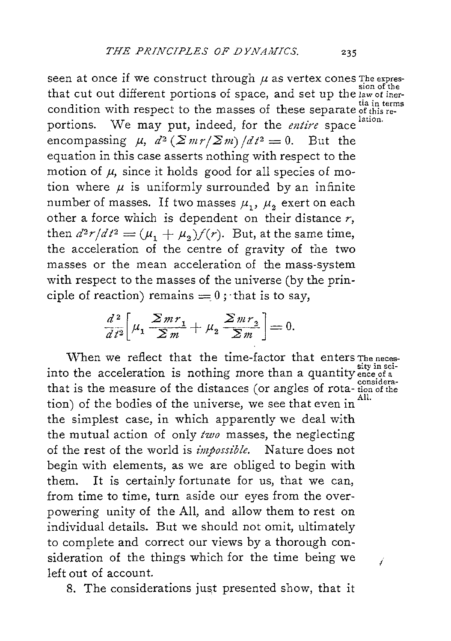seen at once if we construct through  $\mu$  as vertex cones The expres-<br>that cut out different portions of space, and set up the law of iner-<br>that cut out different portions of space, and set up the law of inercondition with respect to the masses of these separate of this retia in terms portions. We may put, indeed, for the entire space encompassing  $\mu$ ,  $d^2$  ( $\sum m r/\sum m$ )  $dt^2 = 0$ . But the equation in this case asserts nothing with respect to the motion of  $\mu$ , since it holds good for all species of motion where  $\mu$  is uniformly surrounded by an infinite number of masses. If two masses  $\mu_1$ ,  $\mu_2$  exert on each other a force which is dependent on their distance  $r$ , then  $d^2r/dt^2 = (\mu_1 + \mu_2)f(r)$ . But, at the same time, the acceleration of the centre of gravity of the two masses or the mean acceleration of the mass-system with respect to the masses of the universe (by the principle of reaction) remains  $= 0$ ; that is to say,

$$
\frac{d^2}{dt^2}\bigg[\mu_1\frac{\sum mr_1}{\sum m} + \mu_2\frac{\sum mr_2}{\sum m}\bigg] = 0.
$$

When we reflect that the time-factor that enters The necesinto the acceleration is nothing more than a quantity ence of a that is the measure of the distances (or angles of rota-tion of the tion) of the bodies of the universe, we see that even in <sup>All.</sup> the simplest case, in which apparently we deal with the mutual action of only two masses, the neglecting of the rest of the world is *impossible*. Nature does not begin with elements, as we are obliged to begin with them. It is certainly fortunate for us. that we can. It is certainly fortunate for us, that we can, from time to time, turn aside our eyes from the overpowering unity of the All, and allow them to rest on individual details. But we should not omit, ultimately to complete and correct our views by <sup>a</sup> thorough consideration of the things which for the time being we  $\epsilon$  y and  $\epsilon$ left out of account.

8. The considerations just presented show, that it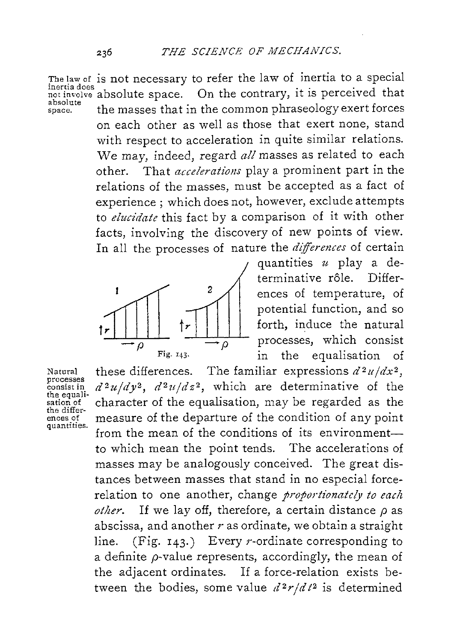The law of is not necessary to refer the law of inertia to <sup>a</sup> special not involve absolute space. On the contrary, it is perceived that<br>absolute space. the masses that in the common phraseology exert forces

on each other as well as those that exert none, stand with respect to acceleration in quite similar relations. We may, indeed, regard all masses as related to each<br>other. That *accelerations* play a prominent part in the other. That *accelerations* play a prominent part in the relations of the masses, must be accepted as a fact of experience ; which does not, however, exclude attempts to *elucidate* this fact by a comparison of it with other facts, involving the discovery of new points of view. In all the processes of nature the *differences* of certain



 $\mu$  quantities  $\mu$  play a determinative rôle. Differences of temperature, of potential function, and so forth, induce the natural  $\overline{\rho}$  processes, which consist<br>in the equalisation of equalisation

the equali-<br>sation of the differences of quantities.

The familiar expressions  $d^2u/dx^2$ , , consist in  $d^2u/dy^2$ ,  $d^2u/dz^2$ , which are determinative of the Natural these differences. consist in  $a^2u/dy^2$ ,  $a^2u/dz^2$ , which are determinative of the<br>sation of character of the equalisation, may be regarded as the<br>the differmeasure of the departure of the condition of any point from the mean of the conditions of its environment to which mean the point tends. The accelerations of masses may be analogously conceived. The great distances between masses that stand in no especial forcerelation to one another, change *proportionately to each* other. If we lay off, therefore, a certain distance  $\rho$  as abscissa, and another  $r$  as ordinate, we obtain a straight line. (Fig. 143.) Every *r*-ordinate corresponding to a definite  $\rho$ -value represents, accordingly, the mean of the adjacent ordinates. If a force-relation exists between the bodies, some value  $d^2r/dt^2$  is determined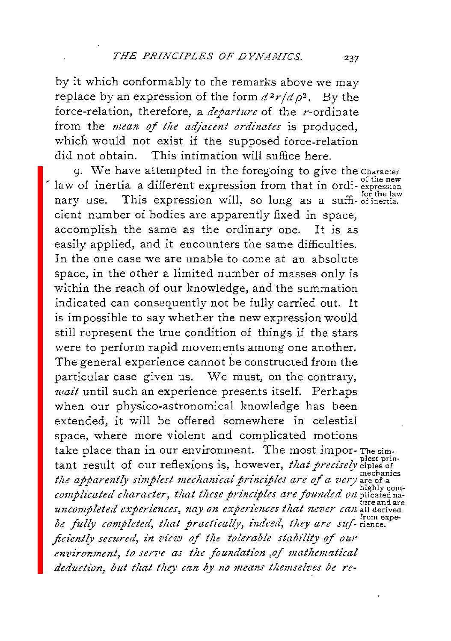by it which conformably to the remarks above we may replace by an expression of the form  $d^2r/d\rho^2$ . By the force-relation, therefore, a *departure* of the *r*-ordinate from the mean of the adjacent ordinates is produced, which would not exist if the supposed force-relation did not obtain. This intimation will suffice here.

g. We have attempted in the foregoing to give the character aw of inertia a different expression from that in ordi-expression  $f(x)$ nary use. This expression will, so long as a suffi- of inertia. cient number of bodies are apparently fixed in space, accomplish the same as the ordinary one. It is as easily applied, and it encounters the same difficulties. In the one case we are unable to come at an absolute space, in the other <sup>a</sup> limited number of masses only is within the reach of our knowledge, and the summation indicated can consequently not be fully carried out. It is impossible to say whether the new expression would still represent the true condition of things if the stars were to perform rapid movements among one another. The general experience cannot be constructed from the particular case given us. We must, on the contrary, wait until such an experience presents itself. Perhaps when our physico-astronomical knowledge has been extended, it will be offered somewhere in celestial space, where more violent and complicated motions take place than in our environment. The most impor- The simtant result of our reflexions is, however, *that precisely* eights of the apparently simplest mechanical principles are of a very are of a *nechanics* complicated character, that these principles are founded on picated and<br>the picated character, that these principles are founded on picated na--<br>uncompleted experiences, nay on experiences that never can all derived<br>from experiences be fully completed, that practically, indeed, they are suf-rience. ficiently secured, in view of the tolerable stability of our environment, to serve as the foundation of mathematical deduction, but that they can by no means themselves be re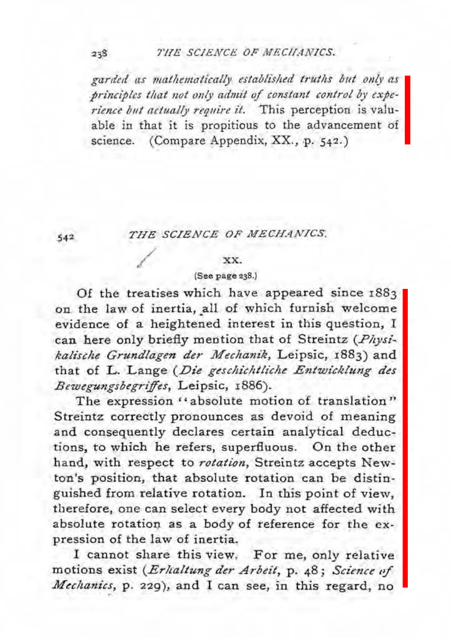garded as mathematically established truths but only as principles that not only admit of constant control by experience but actually require it. This perception is valuable in that it is propitious to the advancement of science. (Compare Appendix, XX., p. 542.)

THE SCIENCE OF MECHANICS.

#### XX.

#### (See page 238.)

Of the treatises which have appeared since 1883 on the law of inertia, all of which furnish welcome evidence of a heightened interest in this question, I can here only briefly mention that of Streintz (Physikalische Grundlagen der Mechanik, Leipsic, 1883) and that of L. Lange (Die geschichtliche Entwicklung des Bewegungsbegriffes, Leipsic, 1886).

The expression "absolute motion of translation" Streintz correctly pronounces as devoid of meaning and consequently declares certain analytical deductions, to which he refers, superfluous. On the other hand, with respect to rotation, Streintz accepts Newton's position, that absolute rotation can be distinguished from relative rotation. In this point of view, therefore, one can select every body not affected with absolute rotation as a body of reference for the expression of the law of inertia.

I cannot share this view. For me, only relative motions exist (Erhaltung der Arbeit, p. 48; Science of Mechanics, p. 229), and I can see, in this regard, no

 $542$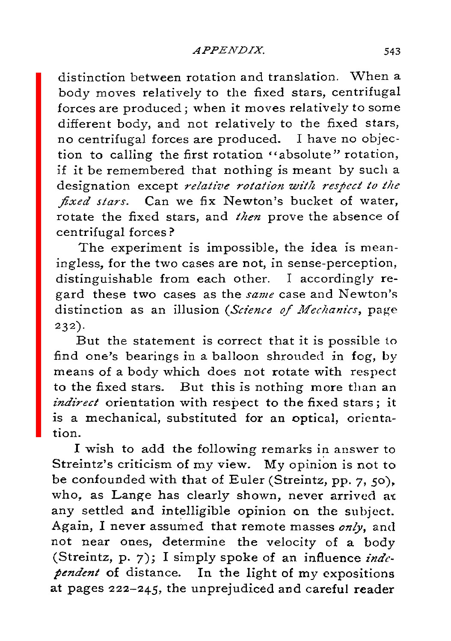distinction between rotation and translation. When <sup>a</sup> body moves relatively to the fixed stars, centrifugal forces are produced ; when it moves relatively to some different body, and not relatively to the fixed stars, no centrifugal forces are produced. <sup>I</sup> have no objection to calling the first rotation "absolute" rotation, if it be remembered that nothing is meant by such <sup>a</sup> designation except *relative rotation with respect to the* fixed stars. Can we fix Newton's bucket of water, rotate the fixed stars, and then prove the absence of centrifugal forces?

The experiment is impossible, the idea is meaningless, for the two cases are not, in sense-perception, distinguishable from each other. <sup>I</sup> accordingly regard these two cases as the *same* case and Newton's distinction as an illusion (Science of Mechanics, page 232).

232).<br>But the statement is correct that it is possible to find one's bearings in a balloon shrouded in fog, by means of <sup>a</sup> body which does not rotate with respect to the fixed stars. But this is nothing more than an indirect orientation with respect to the fixed stars; it is a mechanical, substituted for an optical, orientation.

<sup>I</sup> wish to add the following remarks in answer to Streintz's criticism of my view. My opinion is not to be confounded with that of Euler (Streintz, pp. 7, 50), who, as Lange has clearly shown, never arrived at any settled and intelligible opinion on the subject. Again, I never assumed that remote masses only, and not near ones, determine the velocity of a body (Streintz, p. 7); I simply spoke of an influence *inde*pendent of distance. In the light of my expositions at pages 222-245, the unprejudiced and careful reader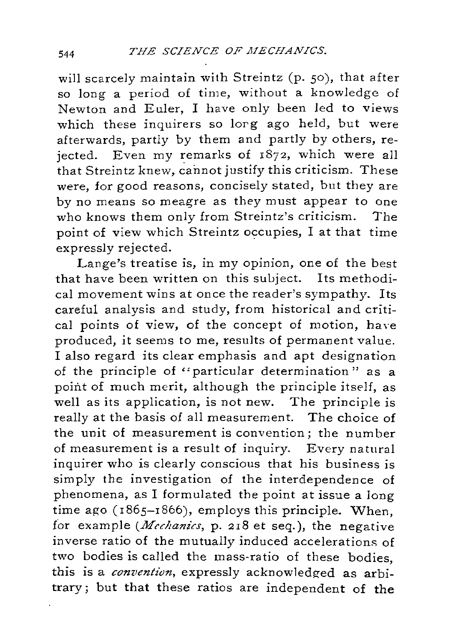will scarcely maintain with Streintz (p. 50), that after so long <sup>a</sup> period of time, without <sup>a</sup> knowledge of Newton and Euler, <sup>I</sup> have only been led to views which these inquirers so lorg ago held, but were afterwards, partly by them and partly by others, rejected. Even my remarks of 1872, which were all that Streintz knew, cannot justify this criticism. These were, for good reasons, concisely stated, but they are by no means so meagre as they must appear to one<br>who knows them only from Streintz's criticism. The who knows them only from Streintz's criticism. point of view which Streintz occupies, <sup>I</sup> at that time expressly rejected.

Lange's treatise is, in my opinion, one of the best that have been written on this subject. Its methodical movement wins at once the reader's sympathy. Its careful analysis and study, from historical and critical points of view, of the concept of motion, have produced, it seems to me, results of permanent value. <sup>I</sup> also regard its clear emphasis and apt designation of the principle of "particular determination" as a point of much merit, although the principle itself, as well as its application, is not new. The principle is really at the basis of all measurement. The choice of the unit of measurement is convention ; the number of measurement is <sup>a</sup> result of inquiry. Every natural inquirer who is clearly conscious that his business is simply the investigation of the interdependence of phenomena, as <sup>I</sup> formulated the point at issue <sup>a</sup> long time ago  $(1865 - 1866)$ , employs this principle. When, for example (*Mechanics*, p. 218 et seq.), the negative inverse ratio of the mutually induced accelerations of two bodies is called the mass-ratio of these bodies, this is a *convention*, expressly acknowledged as arbitrary ; but that these ratios are independent of the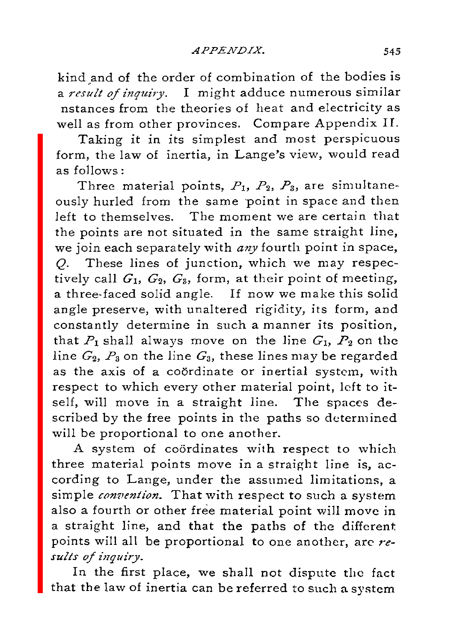kind^and of the order of combination of the bodies is a result of inquiry. I might adduce numerous similar nstances from the theories of heat and electricity as well as from other provinces. Compare Appendix II.

Taking it in its simplest and most perspicuous form, the law of inertia, in Lange's view, would read as follows :

Three material points,  $P_1$ ,  $P_2$ ,  $P_3$ , are simultaneously hurled from the same point in space and then left to themselves. The moment we are certain that the points are not situated in the same straight line, we join each separately with  $any$  fourth point in space,  $Q$ . These lines of junction, which we may respectively call  $G_1$ ,  $G_2$ ,  $G_3$ , form, at their point of meeting, <sup>a</sup> three-faced solid angle. If now we make this solid angle preserve, with unaltered rigidity, its form, and constantly determine in such a manner its position. that  $P_1$  shall always move on the line  $G_1$ ,  $P_2$  on the line  $G_2$ ,  $P_3$  on the line  $G_3$ , these lines may be regarded as the axis of a coördinate or inertial system, with respect to which every other material point, left to itself, will move in a straight line. The spaces described by the free points in the paths so determined will be proportional to one another.

A system of coordinates with respect to which three material points move in a straight line is, according to Lange, under the assumed limitations, a simple *convention*. That with respect to such a system also <sup>a</sup> fourth or other free material point will move in <sup>a</sup> straight line, and that the paths of the different points will all be proportional to one another, are  $re$ sults of inquiry.

In the first place, we shall not dispute the fact that the law of inertia can be referred to such a system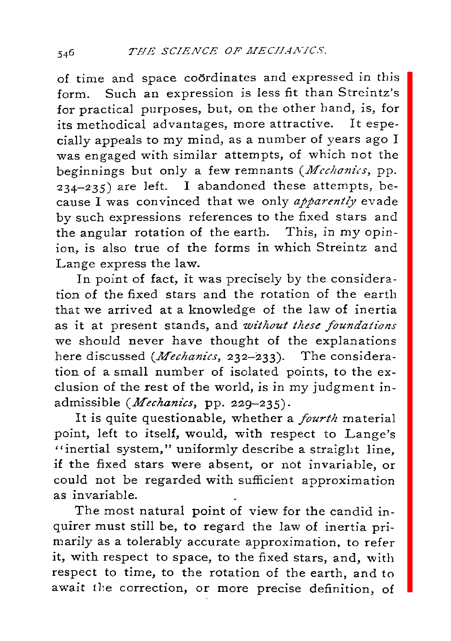of time and space coördinates and expressed in this form. Such an expression is less fit than Streintz's for practical purposes, but, on the other hand, is, for<br>its methodical advantages, more attractive. It espeits methodical advantages, more attractive. cially appeals to my mind, as a number of years ago  $I$ was engaged with similar attempts, of which not the beginnings but only a few remnants  $(Mechanics, pp.$  $234-235$ ) are left. I abandoned these attempts, because I was convinced that we only  $\alpha\beta\gamma\gamma\gamma\gamma$  evade by such expressions references to the fixed stars and the angular rotation of the earth. This, in my opinion, is also true of the forms in which Streintz and L,ange express the law.

In point of fact, it was precisely by the consideration of the fixed stars and the rotation of the earth that we arrived at <sup>a</sup> knowledge of the law of inertia as it at present stands, and without these foundations we should never have thought of the explanations here discussed (Mechanics, 232-233). The consideration of <sup>a</sup> small number of isolated points, to the exclusion of the rest of the world, is in my judgment inadmissible (*Mechanics*, pp. 229-235).

It is quite questionable, whether a *fourth* material point, left to itself, would, with respect to Lange's "inertial system," uniformly describe a straight line, if the fixed stars were absent, or not invariable, or could not be regarded with sufficient approximation as Invariable.

The most natural point of view for the candid inquirer must still be, to regard the law of inertia primarily as a tolerably accurate approximation, to refer it, with respect to space, to the fixed stars, and, with respect to time, to the rotation of the earth, and to await the correction, or more precise definition, of